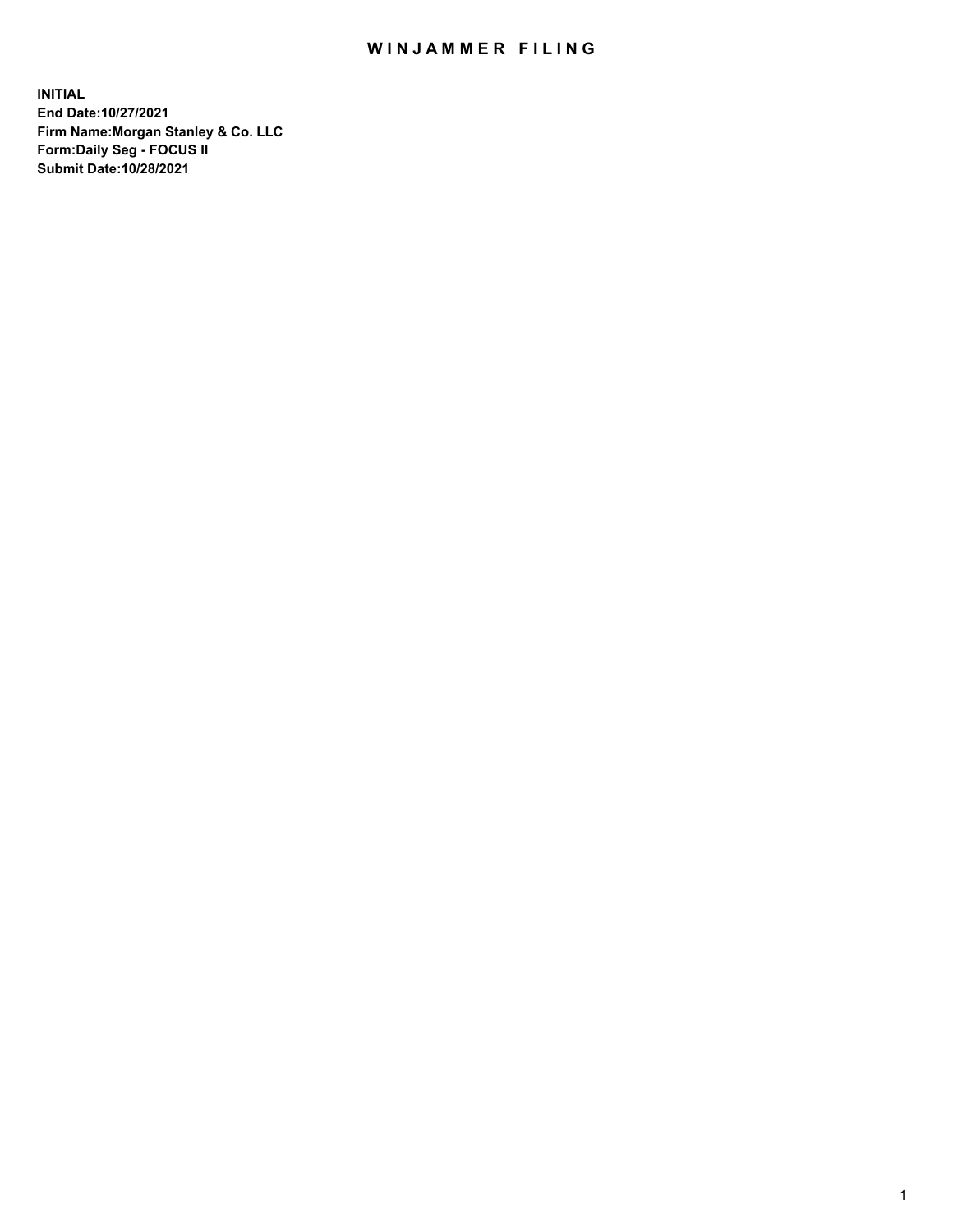## WIN JAMMER FILING

**INITIAL End Date:10/27/2021 Firm Name:Morgan Stanley & Co. LLC Form:Daily Seg - FOCUS II Submit Date:10/28/2021**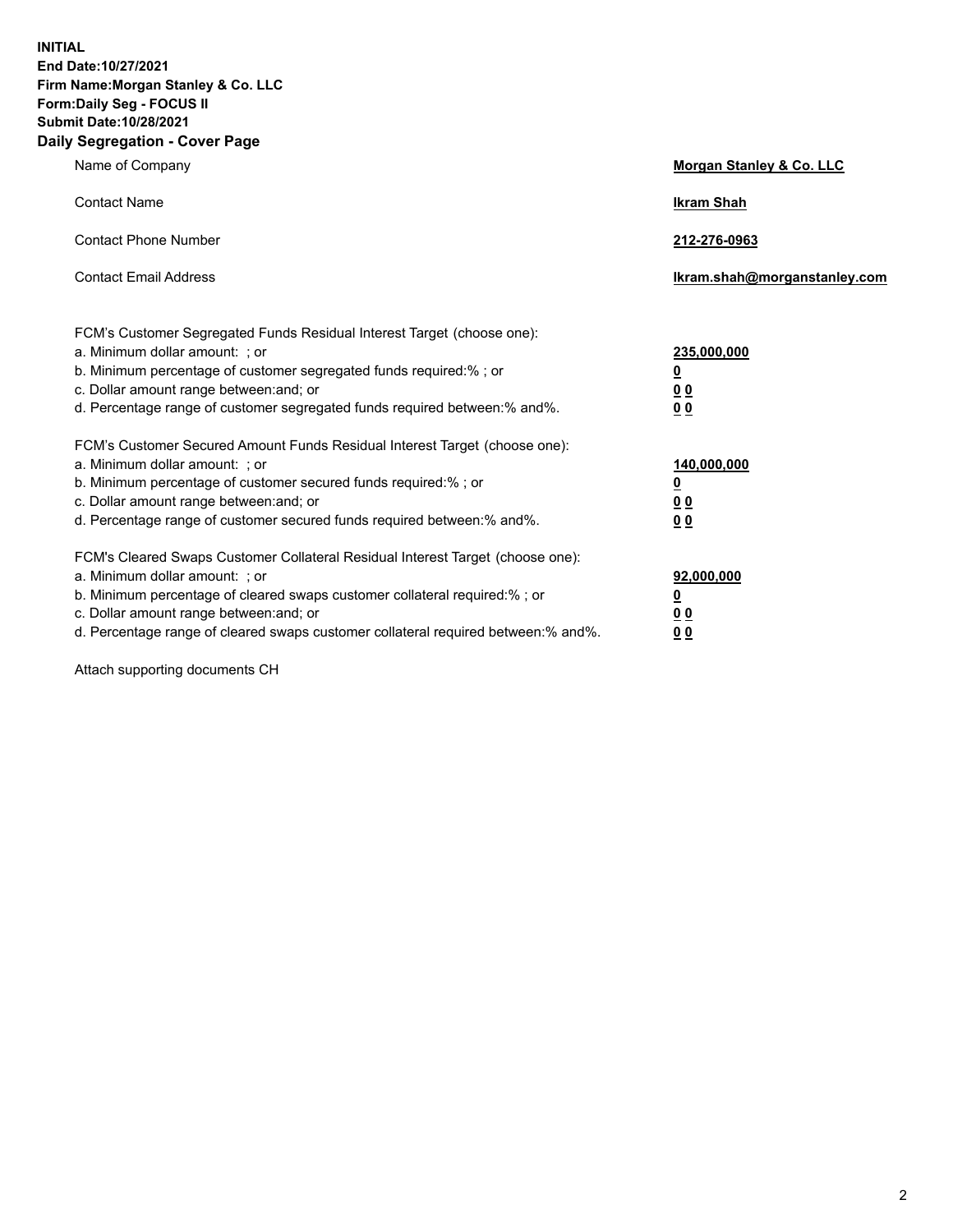**INITIAL End Date:10/27/2021 Firm Name:Morgan Stanley & Co. LLC Form:Daily Seg - FOCUS II Submit Date:10/28/2021 Daily Segregation - Cover Page**

| Name of Company                                                                                                                                                                                                                                                                                                               | Morgan Stanley & Co. LLC                               |
|-------------------------------------------------------------------------------------------------------------------------------------------------------------------------------------------------------------------------------------------------------------------------------------------------------------------------------|--------------------------------------------------------|
| <b>Contact Name</b>                                                                                                                                                                                                                                                                                                           | <b>Ikram Shah</b>                                      |
| <b>Contact Phone Number</b>                                                                                                                                                                                                                                                                                                   | 212-276-0963                                           |
| <b>Contact Email Address</b>                                                                                                                                                                                                                                                                                                  | Ikram.shah@morganstanley.com                           |
| FCM's Customer Segregated Funds Residual Interest Target (choose one):<br>a. Minimum dollar amount: ; or<br>b. Minimum percentage of customer segregated funds required:% ; or<br>c. Dollar amount range between: and; or<br>d. Percentage range of customer segregated funds required between:% and%.                        | 235,000,000<br><u>0</u><br><u>00</u><br>0 <sup>0</sup> |
| FCM's Customer Secured Amount Funds Residual Interest Target (choose one):<br>a. Minimum dollar amount: ; or<br>b. Minimum percentage of customer secured funds required:%; or<br>c. Dollar amount range between: and; or<br>d. Percentage range of customer secured funds required between:% and%.                           | 140,000,000<br><u>0</u><br><u>00</u><br>0 <sub>0</sub> |
| FCM's Cleared Swaps Customer Collateral Residual Interest Target (choose one):<br>a. Minimum dollar amount: ; or<br>b. Minimum percentage of cleared swaps customer collateral required:%; or<br>c. Dollar amount range between: and; or<br>d. Percentage range of cleared swaps customer collateral required between:% and%. | 92,000,000<br><u>0</u><br>0 Q<br>00                    |

Attach supporting documents CH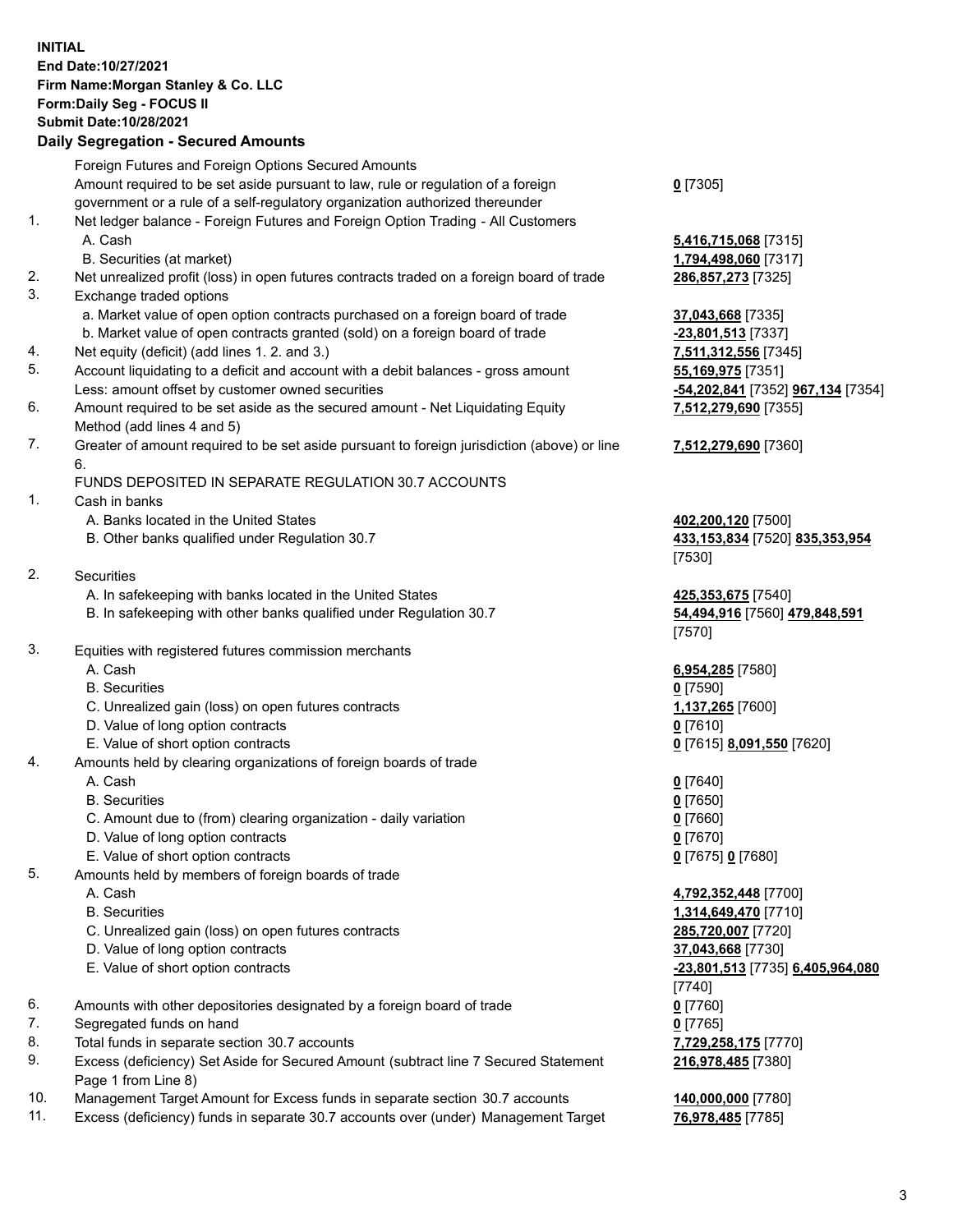## **INITIAL End Date:10/27/2021 Firm Name:Morgan Stanley & Co. LLC Form:Daily Seg - FOCUS II Submit Date:10/28/2021**

## **Daily Segregation - Secured Amounts**

Foreign Futures and Foreign Options Secured Amounts Amount required to be set aside pursuant to law, rule or regulation of a foreign government or a rule of a self-regulatory organization authorized thereunder **0** [7305] 1. Net ledger balance - Foreign Futures and Foreign Option Trading - All Customers A. Cash **5,416,715,068** [7315] B. Securities (at market) **1,794,498,060** [7317] 2. Net unrealized profit (loss) in open futures contracts traded on a foreign board of trade **286,857,273** [7325] 3. Exchange traded options a. Market value of open option contracts purchased on a foreign board of trade **37,043,668** [7335] b. Market value of open contracts granted (sold) on a foreign board of trade **-23,801,513** [7337] 4. Net equity (deficit) (add lines 1. 2. and 3.) **7,511,312,556** [7345] 5. Account liquidating to a deficit and account with a debit balances - gross amount **55,169,975** [7351] Less: amount offset by customer owned securities **-54,202,841** [7352] **967,134** [7354] 6. Amount required to be set aside as the secured amount - Net Liquidating Equity Method (add lines 4 and 5) **7,512,279,690** [7355] 7. Greater of amount required to be set aside pursuant to foreign jurisdiction (above) or line 6. **7,512,279,690** [7360] FUNDS DEPOSITED IN SEPARATE REGULATION 30.7 ACCOUNTS 1. Cash in banks A. Banks located in the United States **402,200,120** [7500] B. Other banks qualified under Regulation 30.7 **433,153,834** [7520] **835,353,954** [7530] 2. Securities A. In safekeeping with banks located in the United States **425,353,675** [7540] B. In safekeeping with other banks qualified under Regulation 30.7 **54,494,916** [7560] **479,848,591** [7570] 3. Equities with registered futures commission merchants A. Cash **6,954,285** [7580] B. Securities **0** [7590] C. Unrealized gain (loss) on open futures contracts **1,137,265** [7600] D. Value of long option contracts **0** [7610] E. Value of short option contracts **0** [7615] **8,091,550** [7620] 4. Amounts held by clearing organizations of foreign boards of trade A. Cash **0** [7640] B. Securities **0** [7650] C. Amount due to (from) clearing organization - daily variation **0** [7660] D. Value of long option contracts **0** [7670] E. Value of short option contracts **0** [7675] **0** [7680] 5. Amounts held by members of foreign boards of trade A. Cash **4,792,352,448** [7700] B. Securities **1,314,649,470** [7710] C. Unrealized gain (loss) on open futures contracts **285,720,007** [7720] D. Value of long option contracts **37,043,668** [7730] E. Value of short option contracts **-23,801,513** [7735] **6,405,964,080** [7740] 6. Amounts with other depositories designated by a foreign board of trade **0** [7760] 7. Segregated funds on hand **0** [7765] 8. Total funds in separate section 30.7 accounts **7,729,258,175** [7770] 9. Excess (deficiency) Set Aside for Secured Amount (subtract line 7 Secured Statement Page 1 from Line 8)

- 10. Management Target Amount for Excess funds in separate section 30.7 accounts **140,000,000** [7780]
- 11. Excess (deficiency) funds in separate 30.7 accounts over (under) Management Target **76,978,485** [7785]

**216,978,485** [7380]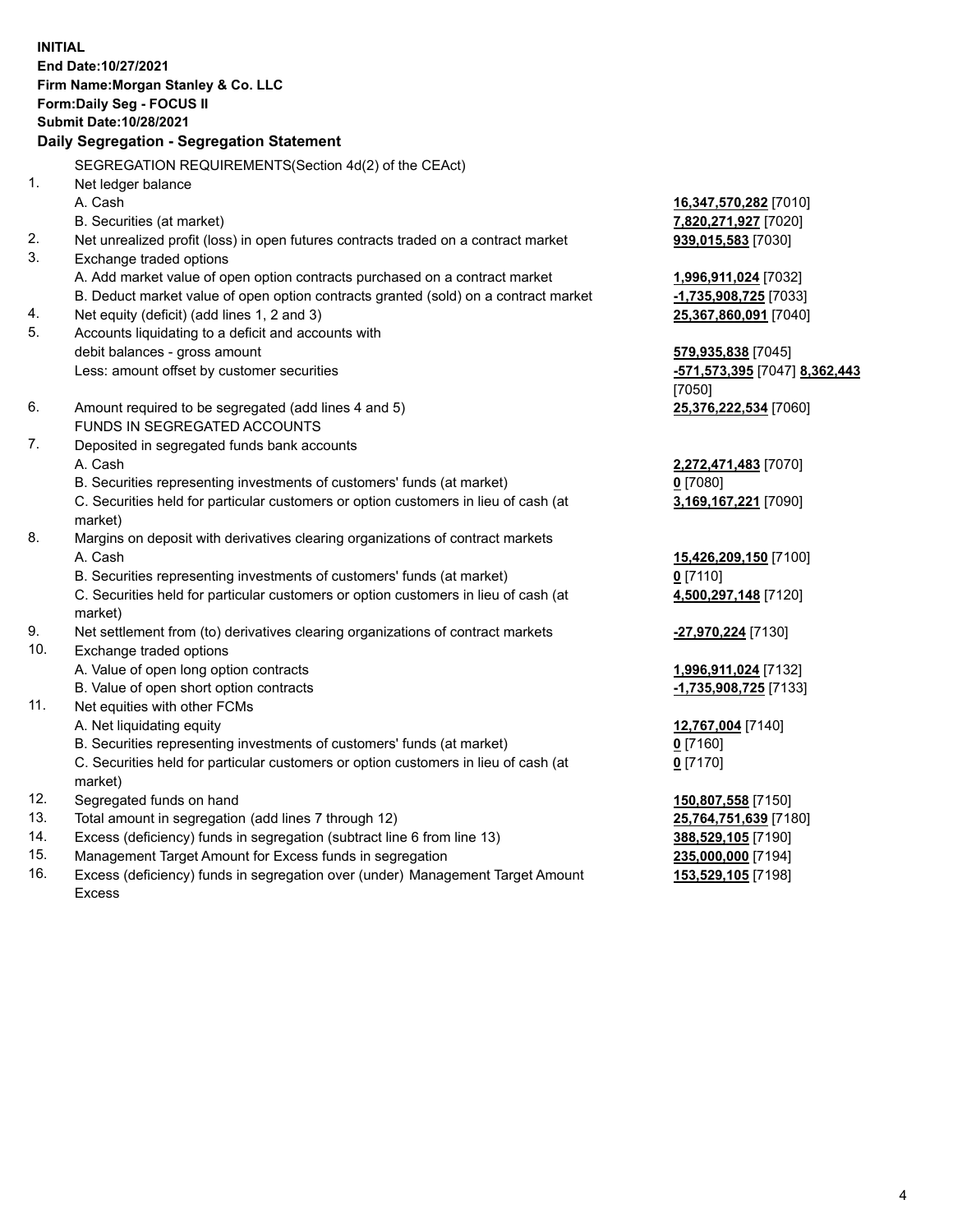**INITIAL End Date:10/27/2021 Firm Name:Morgan Stanley & Co. LLC Form:Daily Seg - FOCUS II Submit Date:10/28/2021 Daily Segregation - Segregation Statement** SEGREGATION REQUIREMENTS(Section 4d(2) of the CEAct) 1. Net ledger balance A. Cash **16,347,570,282** [7010] B. Securities (at market) **7,820,271,927** [7020] 2. Net unrealized profit (loss) in open futures contracts traded on a contract market **939,015,583** [7030] 3. Exchange traded options A. Add market value of open option contracts purchased on a contract market **1,996,911,024** [7032] B. Deduct market value of open option contracts granted (sold) on a contract market **-1,735,908,725** [7033] 4. Net equity (deficit) (add lines 1, 2 and 3) **25,367,860,091** [7040] 5. Accounts liquidating to a deficit and accounts with debit balances - gross amount **579,935,838** [7045] Less: amount offset by customer securities **-571,573,395** [7047] **8,362,443** [7050] 6. Amount required to be segregated (add lines 4 and 5) **25,376,222,534** [7060] FUNDS IN SEGREGATED ACCOUNTS 7. Deposited in segregated funds bank accounts A. Cash **2,272,471,483** [7070] B. Securities representing investments of customers' funds (at market) **0** [7080] C. Securities held for particular customers or option customers in lieu of cash (at market) **3,169,167,221** [7090] 8. Margins on deposit with derivatives clearing organizations of contract markets A. Cash **15,426,209,150** [7100] B. Securities representing investments of customers' funds (at market) **0** [7110] C. Securities held for particular customers or option customers in lieu of cash (at market) **4,500,297,148** [7120] 9. Net settlement from (to) derivatives clearing organizations of contract markets **-27,970,224** [7130] 10. Exchange traded options A. Value of open long option contracts **1,996,911,024** [7132] B. Value of open short option contracts **-1,735,908,725** [7133] 11. Net equities with other FCMs A. Net liquidating equity **12,767,004** [7140] B. Securities representing investments of customers' funds (at market) **0** [7160] C. Securities held for particular customers or option customers in lieu of cash (at market) **0** [7170] 12. Segregated funds on hand **150,807,558** [7150] 13. Total amount in segregation (add lines 7 through 12) **25,764,751,639** [7180] 14. Excess (deficiency) funds in segregation (subtract line 6 from line 13) **388,529,105** [7190] 15. Management Target Amount for Excess funds in segregation **235,000,000** [7194]

16. Excess (deficiency) funds in segregation over (under) Management Target Amount Excess

**153,529,105** [7198]